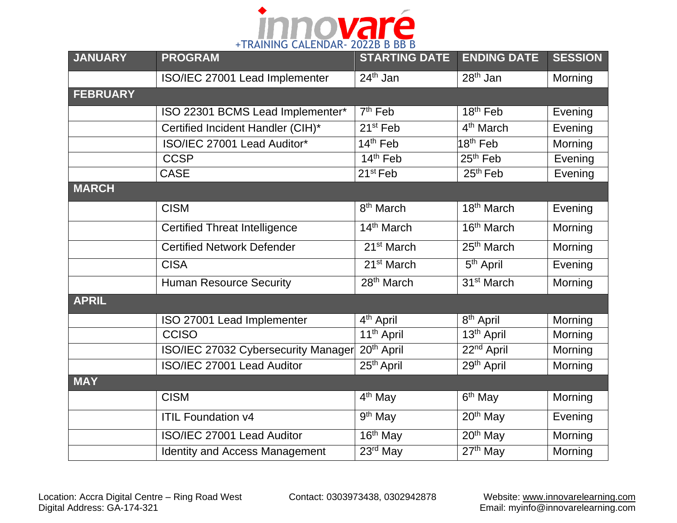

| <b>JANUARY</b>  | <b>PROGRAM</b>                        | <b>STARTING DATE</b>             | <b>ENDING DATE</b>     | <b>SESSION</b> |
|-----------------|---------------------------------------|----------------------------------|------------------------|----------------|
|                 | ISO/IEC 27001 Lead Implementer        | $24th$ Jan                       | 28 <sup>th</sup> Jan   | Morning        |
| <b>FEBRUARY</b> |                                       |                                  |                        |                |
|                 | ISO 22301 BCMS Lead Implementer*      | $7th$ Feb                        | $18th$ Feb             | Evening        |
|                 | Certified Incident Handler (CIH)*     | 21 <sup>st</sup> Feb             | 4 <sup>th</sup> March  | Evening        |
|                 | ISO/IEC 27001 Lead Auditor*           | $14th$ Feb                       | 18 <sup>th</sup> Feb   | Morning        |
|                 | <b>CCSP</b>                           | $14th$ Feb                       | 25 <sup>th</sup> Feb   | Evening        |
|                 | <b>CASE</b>                           | 21 <sup>st</sup> Feb             | $25th$ Feb             | Evening        |
| <b>MARCH</b>    |                                       |                                  |                        |                |
|                 | <b>CISM</b>                           | 8 <sup>th</sup> March            | 18 <sup>th</sup> March | Evening        |
|                 | <b>Certified Threat Intelligence</b>  | 14 <sup>th</sup> March           | 16 <sup>th</sup> March | Morning        |
|                 | <b>Certified Network Defender</b>     | 21 <sup>st</sup> March           | 25 <sup>th</sup> March | Morning        |
|                 | <b>CISA</b>                           | 21 <sup>st</sup> March           | 5 <sup>th</sup> April  | Evening        |
|                 | <b>Human Resource Security</b>        | 28 <sup>th</sup> March           | 31 <sup>st</sup> March | Morning        |
| <b>APRIL</b>    |                                       |                                  |                        |                |
|                 | ISO 27001 Lead Implementer            | 4 <sup>th</sup> April            | 8 <sup>th</sup> April  | Morning        |
|                 | <b>CCISO</b>                          | 11 <sup>th</sup> April           | 13 <sup>th</sup> April | Morning        |
|                 | ISO/IEC 27032 Cybersecurity Manager   | 20 <sup>th</sup> April           | $22nd$ April           | Morning        |
|                 | ISO/IEC 27001 Lead Auditor            | 25 <sup>th</sup> April           | 29 <sup>th</sup> April | Morning        |
| <b>MAY</b>      |                                       |                                  |                        |                |
|                 | <b>CISM</b>                           | 4 <sup>th</sup> May              | 6 <sup>th</sup> May    | Morning        |
|                 | <b>ITIL Foundation v4</b>             | $\overline{9}$ <sup>th</sup> May | $20th$ May             | Evening        |
|                 | ISO/IEC 27001 Lead Auditor            | 16 <sup>th</sup> May             | $20th$ May             | Morning        |
|                 | <b>Identity and Access Management</b> | $23rd$ May                       | $27th$ May             | Morning        |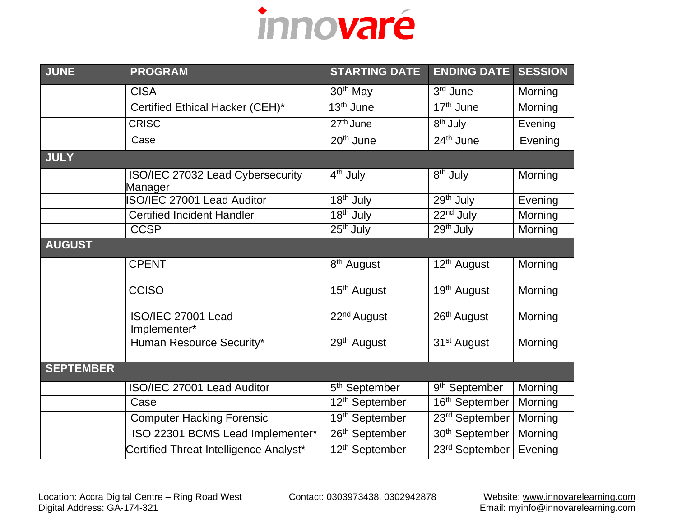

| <b>JUNE</b>      | <b>PROGRAM</b>                              | <b>STARTING DATE</b>               | <b>ENDING DATE</b>         | <b>SESSION</b> |
|------------------|---------------------------------------------|------------------------------------|----------------------------|----------------|
|                  | <b>CISA</b>                                 | 30 <sup>th</sup> May               | 3rd June                   | Morning        |
|                  | Certified Ethical Hacker (CEH)*             | 13 <sup>th</sup> June              | 17 <sup>th</sup> June      | Morning        |
|                  | <b>CRISC</b>                                | 27 <sup>th</sup> June              | 8 <sup>th</sup> July       | Evening        |
|                  | Case                                        | 20 <sup>th</sup> June              | 24 <sup>th</sup> June      | Evening        |
| <b>JULY</b>      |                                             |                                    |                            |                |
|                  | ISO/IEC 27032 Lead Cybersecurity<br>Manager | 4 <sup>th</sup> July               | 8 <sup>th</sup> July       | Morning        |
|                  | <b>ISO/IEC 27001 Lead Auditor</b>           | $\overline{18}$ <sup>th</sup> July | 29 <sup>th</sup> July      | Evening        |
|                  | <b>Certified Incident Handler</b>           | $\overline{18}^{\text{th}}$ July   | 22 <sup>nd</sup> July      | Morning        |
|                  | <b>CCSP</b>                                 | 25 <sup>th</sup> July              | 29 <sup>th</sup> July      | Morning        |
| <b>AUGUST</b>    |                                             |                                    |                            |                |
|                  | <b>CPENT</b>                                | 8 <sup>th</sup> August             | 12 <sup>th</sup> August    | Morning        |
|                  | <b>CCISO</b>                                | 15 <sup>th</sup> August            | 19 <sup>th</sup> August    | Morning        |
|                  | ISO/IEC 27001 Lead<br>Implementer*          | 22 <sup>nd</sup> August            | 26 <sup>th</sup> August    | Morning        |
|                  | Human Resource Security*                    | 29 <sup>th</sup> August            | 31 <sup>st</sup> August    | Morning        |
| <b>SEPTEMBER</b> |                                             |                                    |                            |                |
|                  | ISO/IEC 27001 Lead Auditor                  | 5 <sup>th</sup> September          | 9 <sup>th</sup> September  | Morning        |
|                  | Case                                        | 12 <sup>th</sup> September         | 16 <sup>th</sup> September | Morning        |
|                  | <b>Computer Hacking Forensic</b>            | 19 <sup>th</sup> September         | 23rd September             | Morning        |
|                  | ISO 22301 BCMS Lead Implementer*            | 26th September                     | 30 <sup>th</sup> September | Morning        |
|                  | Certified Threat Intelligence Analyst*      | 12 <sup>th</sup> September         | 23 <sup>rd</sup> September | Evening        |